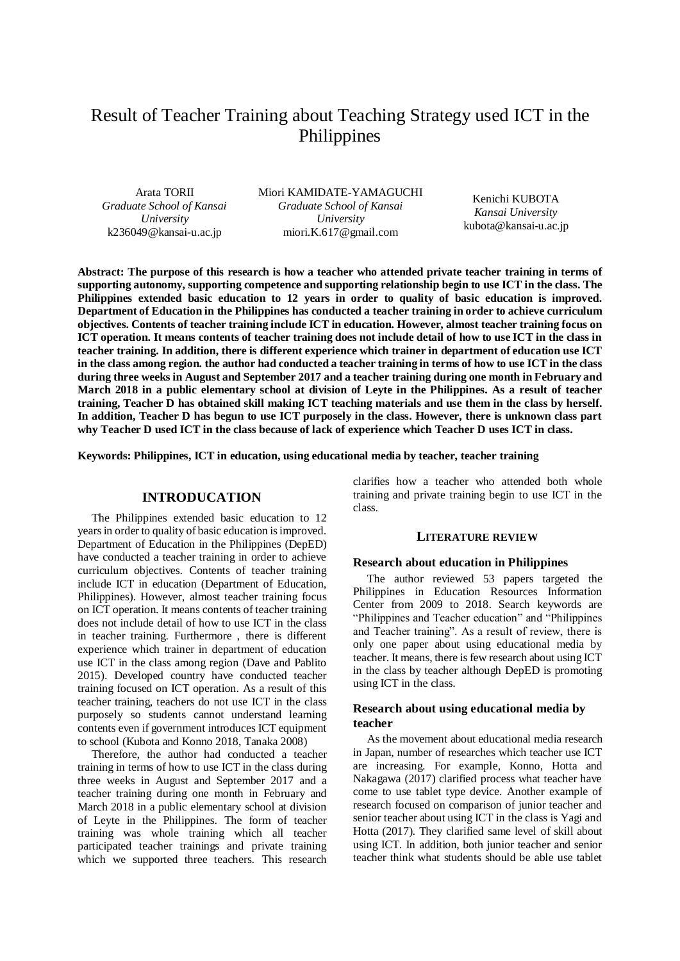# Result of Teacher Training about Teaching Strategy used ICT in the Philippines

Arata TORII *Graduate School of Kansai University* k236049@kansai-u.ac.jp

Miori KAMIDATE-YAMAGUCHI *Graduate School of Kansai University* miori.K.617@gmail.com

Kenichi KUBOTA *Kansai University* kubota@kansai-u.ac.jp

**Abstract: The purpose of this research is how a teacher who attended private teacher training in terms of supporting autonomy, supporting competence and supporting relationship begin to use ICT in the class. The Philippines extended basic education to 12 years in order to quality of basic education is improved. Department of Education in the Philippines has conducted a teacher training in order to achieve curriculum objectives. Contents of teacher training include ICT in education. However, almost teacher training focus on ICT operation. It means contents of teacher training does not include detail of how to use ICT in the class in teacher training. In addition, there is different experience which trainer in department of education use ICT in the class among region. the author had conducted a teacher training in terms of how to use ICT in the class during three weeks in August and September 2017 and a teacher training during one month in February and March 2018 in a public elementary school at division of Leyte in the Philippines. As a result of teacher training, Teacher D has obtained skill making ICT teaching materials and use them in the class by herself. In addition, Teacher D has begun to use ICT purposely in the class. However, there is unknown class part why Teacher D used ICT in the class because of lack of experience which Teacher D uses ICT in class.**

**Keywords: Philippines, ICT in education, using educational media by teacher, teacher training**

## **INTRODUCATION**

The Philippines extended basic education to 12 years in order to quality of basic education is improved. Department of Education in the Philippines (DepED) have conducted a teacher training in order to achieve curriculum objectives. Contents of teacher training include ICT in education (Department of Education, Philippines). However, almost teacher training focus on ICT operation. It means contents of teacher training does not include detail of how to use ICT in the class in teacher training. Furthermore , there is different experience which trainer in department of education use ICT in the class among region (Dave and Pablito 2015). Developed country have conducted teacher training focused on ICT operation. As a result of this teacher training, teachers do not use ICT in the class purposely so students cannot understand learning contents even if government introduces ICT equipment to school (Kubota and Konno 2018, Tanaka 2008)

Therefore, the author had conducted a teacher training in terms of how to use ICT in the class during three weeks in August and September 2017 and a teacher training during one month in February and March 2018 in a public elementary school at division of Leyte in the Philippines. The form of teacher training was whole training which all teacher participated teacher trainings and private training which we supported three teachers. This research

clarifies how a teacher who attended both whole training and private training begin to use ICT in the class.

#### **LITERATURE REVIEW**

#### **Research about education in Philippines**

The author reviewed 53 papers targeted the Philippines in Education Resources Information Center from 2009 to 2018. Search keywords are "Philippines and Teacher education" and "Philippines and Teacher training". As a result of review, there is only one paper about using educational media by teacher. It means, there is few research about using ICT in the class by teacher although DepED is promoting using ICT in the class.

## **Research about using educational media by teacher**

As the movement about educational media research in Japan, number of researches which teacher use ICT are increasing. For example, Konno, Hotta and Nakagawa (2017) clarified process what teacher have come to use tablet type device. Another example of research focused on comparison of junior teacher and senior teacher about using ICT in the class is Yagi and Hotta (2017). They clarified same level of skill about using ICT. In addition, both junior teacher and senior teacher think what students should be able use tablet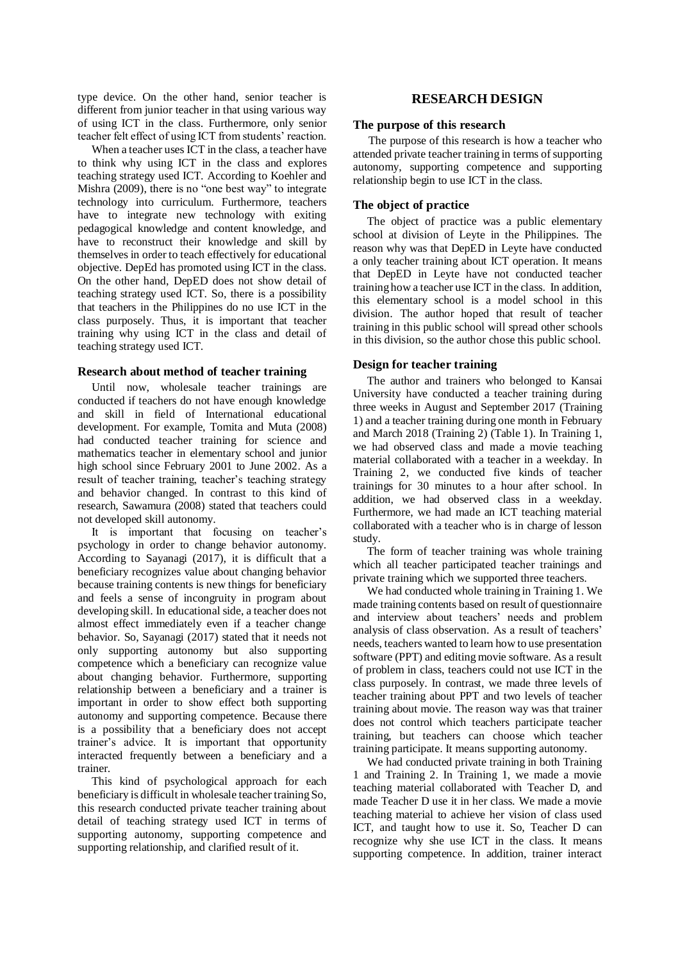type device. On the other hand, senior teacher is different from junior teacher in that using various way of using ICT in the class. Furthermore, only senior teacher felt effect of using ICT from students' reaction.

When a teacher uses ICT in the class, a teacher have to think why using ICT in the class and explores teaching strategy used ICT. According to Koehler and Mishra (2009), there is no "one best way" to integrate technology into curriculum. Furthermore, teachers have to integrate new technology with exiting pedagogical knowledge and content knowledge, and have to reconstruct their knowledge and skill by themselves in order to teach effectively for educational objective. DepEd has promoted using ICT in the class. On the other hand, DepED does not show detail of teaching strategy used ICT. So, there is a possibility that teachers in the Philippines do no use ICT in the class purposely. Thus, it is important that teacher training why using ICT in the class and detail of teaching strategy used ICT.

#### **Research about method of teacher training**

Until now, wholesale teacher trainings are conducted if teachers do not have enough knowledge and skill in field of International educational development. For example, Tomita and Muta (2008) had conducted teacher training for science and mathematics teacher in elementary school and junior high school since February 2001 to June 2002. As a result of teacher training, teacher's teaching strategy and behavior changed. In contrast to this kind of research, Sawamura (2008) stated that teachers could not developed skill autonomy.

It is important that focusing on teacher's psychology in order to change behavior autonomy. According to Sayanagi (2017), it is difficult that a beneficiary recognizes value about changing behavior because training contents is new things for beneficiary and feels a sense of incongruity in program about developing skill. In educational side, a teacher does not almost effect immediately even if a teacher change behavior. So, Sayanagi (2017) stated that it needs not only supporting autonomy but also supporting competence which a beneficiary can recognize value about changing behavior. Furthermore, supporting relationship between a beneficiary and a trainer is important in order to show effect both supporting autonomy and supporting competence. Because there is a possibility that a beneficiary does not accept trainer's advice. It is important that opportunity interacted frequently between a beneficiary and a trainer.

This kind of psychological approach for each beneficiary is difficult in wholesale teacher training So, this research conducted private teacher training about detail of teaching strategy used ICT in terms of supporting autonomy, supporting competence and supporting relationship, and clarified result of it.

## **RESEARCH DESIGN**

#### **The purpose of this research**

The purpose of this research is how a teacher who attended private teacher training in terms of supporting autonomy, supporting competence and supporting relationship begin to use ICT in the class.

## **The object of practice**

The object of practice was a public elementary school at division of Leyte in the Philippines. The reason why was that DepED in Leyte have conducted a only teacher training about ICT operation. It means that DepED in Leyte have not conducted teacher training how a teacher use ICT in the class. In addition, this elementary school is a model school in this division. The author hoped that result of teacher training in this public school will spread other schools in this division, so the author chose this public school.

#### **Design for teacher training**

The author and trainers who belonged to Kansai University have conducted a teacher training during three weeks in August and September 2017 (Training 1) and a teacher training during one month in February and March 2018 (Training 2) (Table 1). In Training 1, we had observed class and made a movie teaching material collaborated with a teacher in a weekday. In Training 2, we conducted five kinds of teacher trainings for 30 minutes to a hour after school. In addition, we had observed class in a weekday. Furthermore, we had made an ICT teaching material collaborated with a teacher who is in charge of lesson study.

The form of teacher training was whole training which all teacher participated teacher trainings and private training which we supported three teachers.

We had conducted whole training in Training 1. We made training contents based on result of questionnaire and interview about teachers' needs and problem analysis of class observation. As a result of teachers' needs, teachers wanted to learn how to use presentation software (PPT) and editing movie software. As a result of problem in class, teachers could not use ICT in the class purposely. In contrast, we made three levels of teacher training about PPT and two levels of teacher training about movie. The reason way was that trainer does not control which teachers participate teacher training, but teachers can choose which teacher training participate. It means supporting autonomy.

We had conducted private training in both Training 1 and Training 2. In Training 1, we made a movie teaching material collaborated with Teacher D, and made Teacher D use it in her class. We made a movie teaching material to achieve her vision of class used ICT, and taught how to use it. So, Teacher D can recognize why she use ICT in the class. It means supporting competence. In addition, trainer interact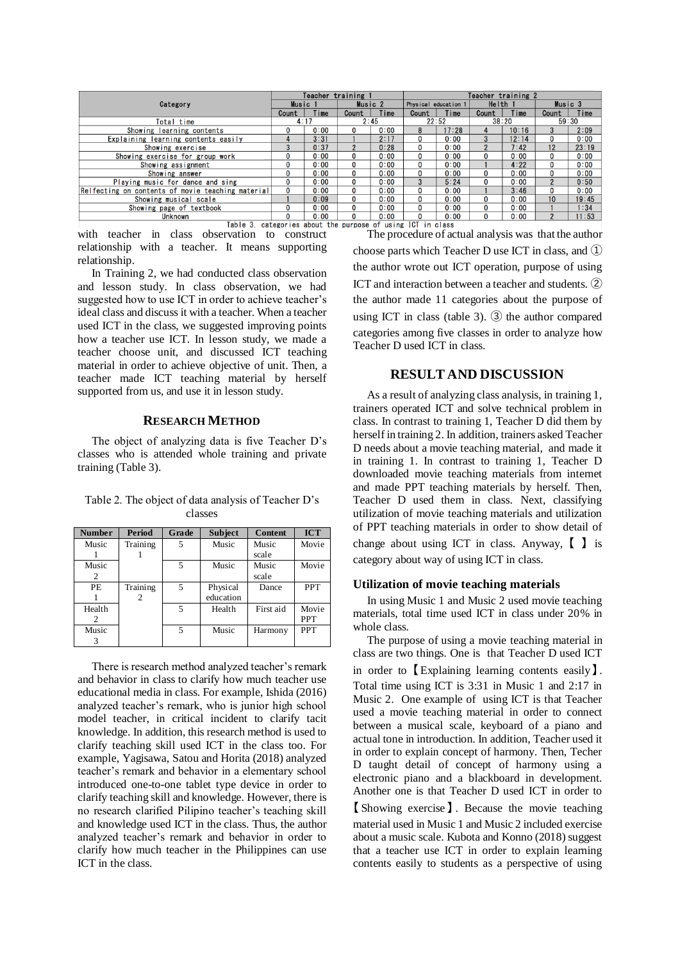|                                                                | Teacher training 1 |                    |                |         | Teacher training 2 |                      |                |         |                 |         |  |
|----------------------------------------------------------------|--------------------|--------------------|----------------|---------|--------------------|----------------------|----------------|---------|-----------------|---------|--|
| Category                                                       |                    | Music <sub>1</sub> |                | Music 2 |                    | Physical education 1 |                | Helth 1 |                 | Music 3 |  |
|                                                                |                    | Time               | Count          | Time    | Count              | Time                 | Count          | Time    | Count           | Time    |  |
| Total time                                                     | 4:17               |                    | 2:45           |         | 22:52              |                      | 38:20          |         | 59:30           |         |  |
| Showing learning contents                                      | 0                  | 0:00               | 0              | 0:00    | 8                  | 17:28                |                | 10:16   | 3               | 2:09    |  |
| Explaining learning contents easily                            | 4                  | 3:31               |                | 2:17    | 0                  | 0:00                 | 3              | 12:14   | 0               | 0:00    |  |
| Showing exercise                                               | 3                  | 0:37               | $\overline{2}$ | 0:28    | 0                  | 0:00                 | $\overline{2}$ | 7:42    | 12              | 23:19   |  |
| Showing exercise for group work                                | 0                  | 0:00               | 0              | 0:00    | 0                  | 0:00                 | 0              | 0:00    | 0               | 0:00    |  |
| Showing assignment                                             | 0                  | 0:00               | 0              | 0:00    | 0                  | 0:00                 |                | 4:22    | 0               | 0:00    |  |
| Showing answer                                                 | 0                  | 0:00               | $\mathbf 0$    | 0:00    | 0                  | 0:00                 | 0              | 0:00    | 0               | 0:00    |  |
| Playing music for dance and sing                               | 0                  | 0:00               | $\mathbf 0$    | 0:00    | 3                  | 5:24                 | 0              | 0:00    | $\mathfrak{p}$  | 0:50    |  |
| Relfecting on contents of movie teaching material              | 0                  | 0:00               | 0              | 0:00    | 0                  | 0:00                 |                | 3:46    | 0               | 0:00    |  |
| Showing musical scale                                          |                    | 0:09               | $\mathbf{0}$   | 0:00    | 0                  | 0:00                 | 0              | 0:00    | 10 <sup>1</sup> | 19:45   |  |
| Showing page of textbook                                       | 0                  | 0:00               | $\mathbf{0}$   | 0:00    | 0                  | 0:00                 | 0              | 0:00    |                 | 1:34    |  |
| Unknown                                                        | 0                  | 0:00               | $\mathbf{0}$   | 0:00    | 0                  | 0:00                 | 0              | 0:00    | $\overline{2}$  | 11:53   |  |
| categories about the purpose of using ICT in class<br>Table 3. |                    |                    |                |         |                    |                      |                |         |                 |         |  |

with teacher in class observation to construct relationship with a teacher. It means supporting relationship.

In Training 2, we had conducted class observation and lesson study. In class observation, we had suggested how to use ICT in order to achieve teacher's ideal class and discuss it with a teacher. When a teacher used ICT in the class, we suggested improving points how a teacher use ICT. In lesson study, we made a teacher choose unit, and discussed ICT teaching material in order to achieve objective of unit. Then, a teacher made ICT teaching material by herself supported from us, and use it in lesson study.

## **RESEARCH METHOD**

The object of analyzing data is five Teacher D's classes who is attended whole training and private training (Table 3).

Table 2. The object of data analysis of Teacher D's classes

| <b>Number</b> | Period   | Grade | <b>Subject</b> | <b>Content</b> | <b>ICT</b> |
|---------------|----------|-------|----------------|----------------|------------|
| Music         | Training |       | Music          | Music          | Movie      |
|               |          |       |                | scale          |            |
| Music         |          | 5     | Music          | Music          | Movie      |
| 2             |          |       |                | scale          |            |
| <b>PE</b>     | Training | 5     | Physical       | Dance          | <b>PPT</b> |
|               |          |       | education      |                |            |
| Health        |          | 5     | Health         | First aid      | Movie      |
|               |          |       |                |                | <b>PPT</b> |
| Music         |          |       | Music          | Harmony        | <b>PPT</b> |
|               |          |       |                |                |            |

There is research method analyzed teacher's remark and behavior in class to clarify how much teacher use educational media in class. For example, Ishida (2016) analyzed teacher's remark, who is junior high school model teacher, in critical incident to clarify tacit knowledge. In addition, this research method is used to clarify teaching skill used ICT in the class too. For example, Yagisawa, Satou and Horita (2018) analyzed teacher's remark and behavior in a elementary school introduced one-to-one tablet type device in order to clarify teaching skill and knowledge. However, there is no research clarified Pilipino teacher's teaching skill and knowledge used ICT in the class. Thus, the author analyzed teacher's remark and behavior in order to clarify how much teacher in the Philippines can use ICT in the class.

The procedure of actual analysis was that the author

choose parts which Teacher D use ICT in class, and ① the author wrote out ICT operation, purpose of using ICT and interaction between a teacher and students. ② the author made 11 categories about the purpose of using ICT in class (table 3). ③ the author compared categories among five classes in order to analyze how Teacher D used ICT in class.

## **RESULT AND DISCUSSION**

As a result of analyzing class analysis, in training 1, trainers operated ICT and solve technical problem in class. In contrast to training 1, Teacher D did them by herself in training 2. In addition, trainers asked Teacher D needs about a movie teaching material, and made it in training 1. In contrast to training 1, Teacher D downloaded movie teaching materials from internet and made PPT teaching materials by herself. Then, Teacher D used them in class. Next, classifying utilization of movie teaching materials and utilization of PPT teaching materials in order to show detail of change about using ICT in class. Anyway, 【 】 is category about way of using ICT in class.

## **Utilization of movie teaching materials**

In using Music 1 and Music 2 used movie teaching materials, total time used ICT in class under 20% in whole class.

The purpose of using a movie teaching material in class are two things. One is that Teacher D used ICT in order to 【 Explaining learning contents easily 】 . Total time using ICT is 3:31 in Music 1 and 2:17 in Music 2. One example of using ICT is that Teacher used a movie teaching material in order to connect between a musical scale, keyboard of a piano and actual tone in introduction. In addition, Teacher used it in order to explain concept of harmony. Then, Techer D taught detail of concept of harmony using a electronic piano and a blackboard in development. Another one is that Teacher D used ICT in order to

【 Showing exercise 】 . Because the movie teaching material used in Music 1 and Music 2 included exercise about a music scale. Kubota and Konno (2018) suggest that a teacher use ICT in order to explain learning contents easily to students as a perspective of using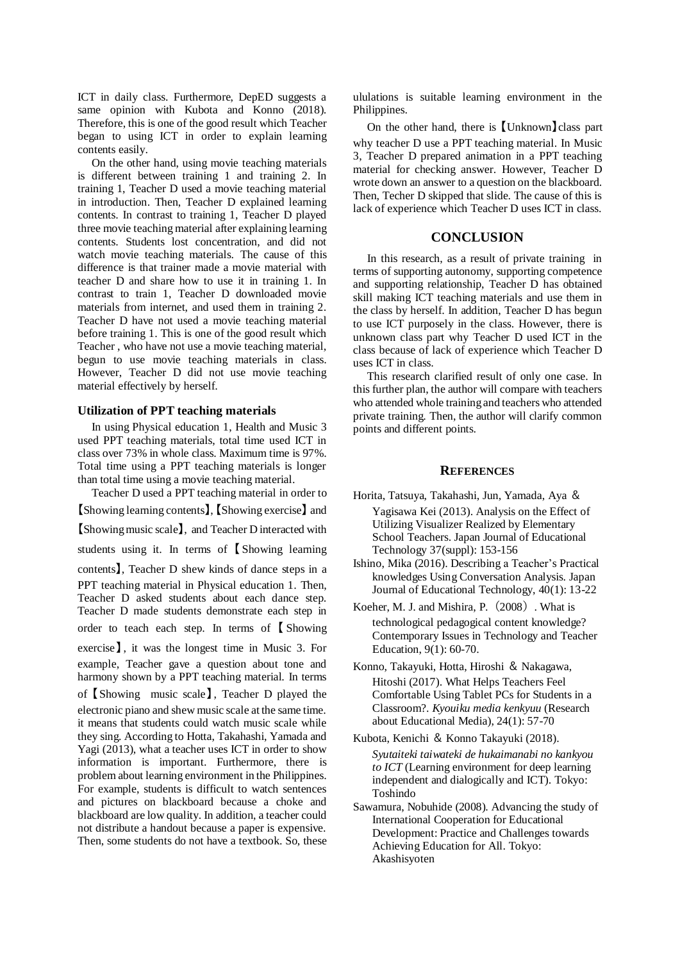ICT in daily class. Furthermore, DepED suggests a same opinion with Kubota and Konno (2018). Therefore, this is one of the good result which Teacher began to using ICT in order to explain learning contents easily.

On the other hand, using movie teaching materials is different between training 1 and training 2. In training 1, Teacher D used a movie teaching material in introduction. Then, Teacher D explained learning contents. In contrast to training 1, Teacher D played three movie teaching material after explaining learning contents. Students lost concentration, and did not watch movie teaching materials. The cause of this difference is that trainer made a movie material with teacher D and share how to use it in training 1. In contrast to train 1, Teacher D downloaded movie materials from internet, and used them in training 2. Teacher D have not used a movie teaching material before training 1. This is one of the good result which Teacher , who have not use a movie teaching material, begun to use movie teaching materials in class. However, Teacher D did not use movie teaching material effectively by herself.

#### **Utilization of PPT teaching materials**

In using Physical education 1, Health and Music 3 used PPT teaching materials, total time used ICT in class over 73% in whole class. Maximum time is 97%. Total time using a PPT teaching materials is longer than total time using a movie teaching material.

Teacher D used a PPT teaching material in order to 【Showing learning contents】, 【Showing exercise】 and 【Showing music scale】, and Teacher D interacted with students using it. In terms of 【 Showing learning contents】, Teacher D shew kinds of dance steps in a PPT teaching material in Physical education 1. Then, Teacher D asked students about each dance step. Teacher D made students demonstrate each step in order to teach each step. In terms of 【 Showing exercise<sup>]</sup>, it was the longest time in Music 3. For example, Teacher gave a question about tone and harmony shown by a PPT teaching material. In terms of 【Showing music scale】 , Teacher D played the electronic piano and shew music scale at the same time. it means that students could watch music scale while they sing. According to Hotta, Takahashi, Yamada and Yagi (2013), what a teacher uses ICT in order to show information is important. Furthermore, there is problem about learning environment in the Philippines. For example, students is difficult to watch sentences and pictures on blackboard because a choke and blackboard are low quality. In addition, a teacher could not distribute a handout because a paper is expensive. Then, some students do not have a textbook. So, these

ululations is suitable learning environment in the Philippines.

On the other hand, there is 【Unknown】class part why teacher D use a PPT teaching material. In Music 3, Teacher D prepared animation in a PPT teaching material for checking answer. However, Teacher D wrote down an answer to a question on the blackboard. Then, Techer D skipped that slide. The cause of this is lack of experience which Teacher D uses ICT in class.

## **CONCLUSION**

In this research, as a result of private training in terms of supporting autonomy, supporting competence and supporting relationship, Teacher D has obtained skill making ICT teaching materials and use them in the class by herself. In addition, Teacher D has begun to use ICT purposely in the class. However, there is unknown class part why Teacher D used ICT in the class because of lack of experience which Teacher D uses ICT in class.

This research clarified result of only one case. In this further plan, the author will compare with teachers who attended whole training and teachers who attended private training. Then, the author will clarify common points and different points.

#### **REFERENCES**

- Horita, Tatsuya, Takahashi, Jun, Yamada, Aya & Yagisawa Kei (2013). Analysis on the Effect of Utilizing Visualizer Realized by Elementary School Teachers. Japan Journal of Educational Technology 37(suppl): 153-156
- Ishino, Mika (2016). Describing a Teacher's Practical knowledges Using Conversation Analysis. Japan Journal of Educational Technology, 40(1): 13-22
- Koeher, M. J. and Mishira, P.(2008). What is technological pedagogical content knowledge? Contemporary Issues in Technology and Teacher Education, 9(1): 60-70.
- Konno, Takayuki, Hotta, Hiroshi & Nakagawa, Hitoshi (2017). What Helps Teachers Feel Comfortable Using Tablet PCs for Students in a Classroom?. *Kyouiku media kenkyuu* (Research about Educational Media), 24(1): 57-70
- Kubota, Kenichi & Konno Takayuki (2018). *Syutaiteki taiwateki de hukaimanabi no kankyou to ICT* (Learning environment for deep learning independent and dialogically and ICT). Tokyo: Toshindo
- Sawamura, Nobuhide (2008). Advancing the study of International Cooperation for Educational Development: Practice and Challenges towards Achieving Education for All. Tokyo: Akashisyoten